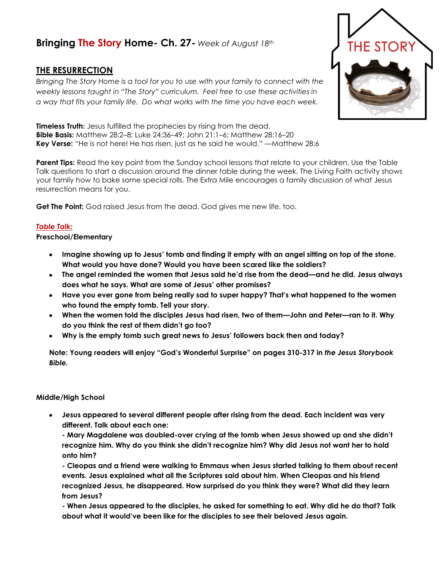# **Bringing The Story Home- Ch. 27-** *Week of August 18th*

# **THE RESURRECTION**

*Bringing The Story Home is a tool for you to use with your family to connect with the weekly lessons taught in "The Story" curriculum. Feel free to use these activities in a way that fits your family life. Do what works with the time you have each week.* 

**Timeless Truth:** Jesus fulfilled the prophecies by rising from the dead. **Bible Basis:** Matthew 28:2–8; Luke 24:36–49; John 21:1–6; Matthew 28:16–20 **Key Verse:** "He is not here! He has risen, just as he said he would." —Matthew 28:6

**Parent Tips:** Read the key point from the Sunday school lessons that relate to your children. Use the Table Talk questions to start a discussion around the dinner table during the week. The Living Faith activity shows your family how to bake some special rolls. The Extra Mile encourages a family discussion of what Jesus resurrection means for you.

**Get The Point:** God raised Jesus from the dead. God gives me new life, too.

## *Table Talk:*

### **Preschool/Elementary**

- **Imagine showing up to Jesus' tomb and finding it empty with an angel sitting on top of the stone. What would you have done? Would you have been scared like the soldiers?**
- **The angel reminded the women that Jesus said he'd rise from the dead—and he did. Jesus always does what he says. What are some of Jesus' other promises?**
- **Have you ever gone from being really sad to super happy? That's what happened to the women who found the empty tomb. Tell your story.**
- **When the women told the disciples Jesus had risen, two of them—John and Peter—ran to it. Why do you think the rest of them didn't go too?**
- **Why is the empty tomb such great news to Jesus' followers back then and today?**

**Note: Young readers will enjoy "God's Wonderful Surprise" on pages 310-317 in** *the Jesus Storybook Bible.*

### **Middle/High School**

**Jesus appeared to several different people after rising from the dead. Each incident was very different. Talk about each one:**

**- Mary Magdalene was doubled-over crying at the tomb when Jesus showed up and she didn't recognize him. Why do you think she didn't recognize him? Why did Jesus not want her to hold onto him?**

**- Cleopas and a friend were walking to Emmaus when Jesus started talking to them about recent events. Jesus explained what all the Scriptures said about him. When Cleopas and his friend recognized Jesus, he disappeared. How surprised do you think they were? What did they learn from Jesus?**

**- When Jesus appeared to the disciples, he asked for something to eat. Why did he do that? Talk about what it would've been like for the disciples to see their beloved Jesus again.**